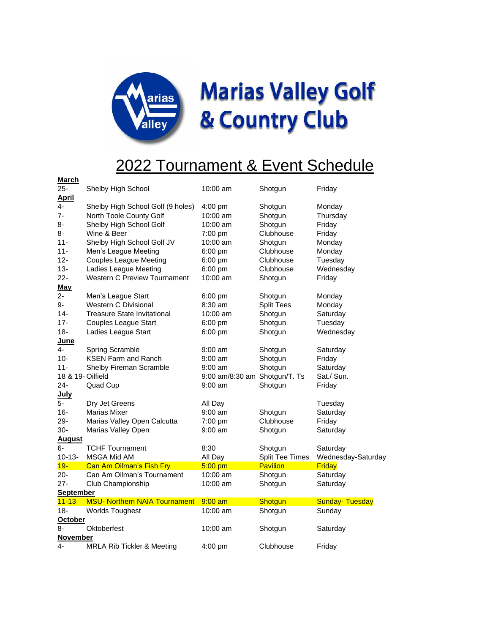

**March**

## **Marias Valley Golf** & Country Club

## 2022 Tournament & Event Schedule

| <u></u>           |                                       |                               |                        |                       |
|-------------------|---------------------------------------|-------------------------------|------------------------|-----------------------|
| $25 -$            | Shelby High School                    | 10:00 am                      | Shotgun                | Friday                |
| <u>April</u>      |                                       |                               |                        |                       |
| 4-                | Shelby High School Golf (9 holes)     | 4:00 pm                       | Shotgun                | Monday                |
| $7-$              | North Toole County Golf               | 10:00 am                      | Shotgun                | Thursday              |
| 8-                | Shelby High School Golf               | 10:00 am                      | Shotgun                | Friday                |
| 8-                | Wine & Beer                           | $7:00 \text{ pm}$             | Clubhouse              | Friday                |
| 11-               | Shelby High School Golf JV            | 10:00 am                      | Shotgun                | Monday                |
| $11 -$            | Men's League Meeting                  | 6:00 pm                       | Clubhouse              | Monday                |
| $12 -$            | <b>Couples League Meeting</b>         | $6:00$ pm                     | Clubhouse              | Tuesday               |
| $13 -$            | Ladies League Meeting                 | 6:00 pm                       | Clubhouse              | Wednesday             |
| $22 -$            | <b>Western C Preview Tournament</b>   | 10:00 am                      | Shotgun                | Friday                |
| <u>May</u>        |                                       |                               |                        |                       |
| $2 -$             | Men's League Start                    | 6:00 pm                       | Shotgun                | Monday                |
| 9-                | <b>Western C Divisional</b>           | 8:30 am                       | <b>Split Tees</b>      | Monday                |
| 14-               | <b>Treasure State Invitational</b>    | 10:00 am                      | Shotgun                | Saturday              |
| $17 -$            | <b>Couples League Start</b>           | 6:00 pm                       | Shotgun                | Tuesday               |
| $18 -$            | Ladies League Start                   | $6:00$ pm                     | Shotgun                | Wednesday             |
| <u>June</u>       |                                       |                               |                        |                       |
| $4-$              | Spring Scramble                       | $9:00$ am                     | Shotgun                | Saturday              |
| $10-$             | <b>KSEN Farm and Ranch</b>            | $9:00$ am                     | Shotgun                | Friday                |
| $11 -$            | Shelby Fireman Scramble               | $9:00$ am                     | Shotgun                | Saturday              |
| 18 & 19- Oilfield |                                       | 9:00 am/8:30 am Shotgun/T. Ts |                        | Sat./ Sun.            |
| $24 -$            | Quad Cup                              | $9:00$ am                     | Shotgun                | Friday                |
| <b>July</b>       |                                       |                               |                        |                       |
| 5-                | Dry Jet Greens                        | All Day                       |                        | Tuesday               |
| $16-$             | <b>Marias Mixer</b>                   | $9:00$ am                     | Shotgun                | Saturday              |
| 29-               | Marias Valley Open Calcutta           | 7:00 pm                       | Clubhouse              | Friday                |
| $30-$             | Marias Valley Open                    | $9:00$ am                     | Shotgun                | Saturday              |
| <u>August</u>     |                                       |                               |                        |                       |
| 6-                | <b>TCHF Tournament</b>                | 8:30                          | Shotgun                | Saturday              |
| 10-13-            | MSGA Mid AM                           | All Day                       | <b>Split Tee Times</b> | Wednesday-Saturday    |
| $19 -$            | <b>Can Am Oilman's Fish Fry</b>       | $5:00$ pm                     | <b>Pavilion</b>        | <b>Friday</b>         |
| $20 -$            | Can Am Oilman's Tournament            | 10:00 am                      | Shotgun                | Saturday              |
| $27 -$            | Club Championship                     | 10:00 am                      | Shotgun                | Saturday              |
| <b>September</b>  |                                       |                               |                        |                       |
| <u> 11-13</u>     | <b>MSU- Northern NAIA Tournament</b>  | $9:00$ am                     | Shotgun                | <b>Sunday-Tuesday</b> |
| $18 -$            | <b>Worlds Toughest</b>                | 10:00 am                      | Shotgun                | Sunday                |
| October           |                                       |                               |                        |                       |
| $8-$              | <b>Oktoberfest</b>                    | 10:00 am                      | Shotgun                | Saturday              |
| November          |                                       |                               |                        |                       |
| 4-                | <b>MRLA Rib Tickler &amp; Meeting</b> | 4:00 pm                       | Clubhouse              | Friday                |
|                   |                                       |                               |                        |                       |